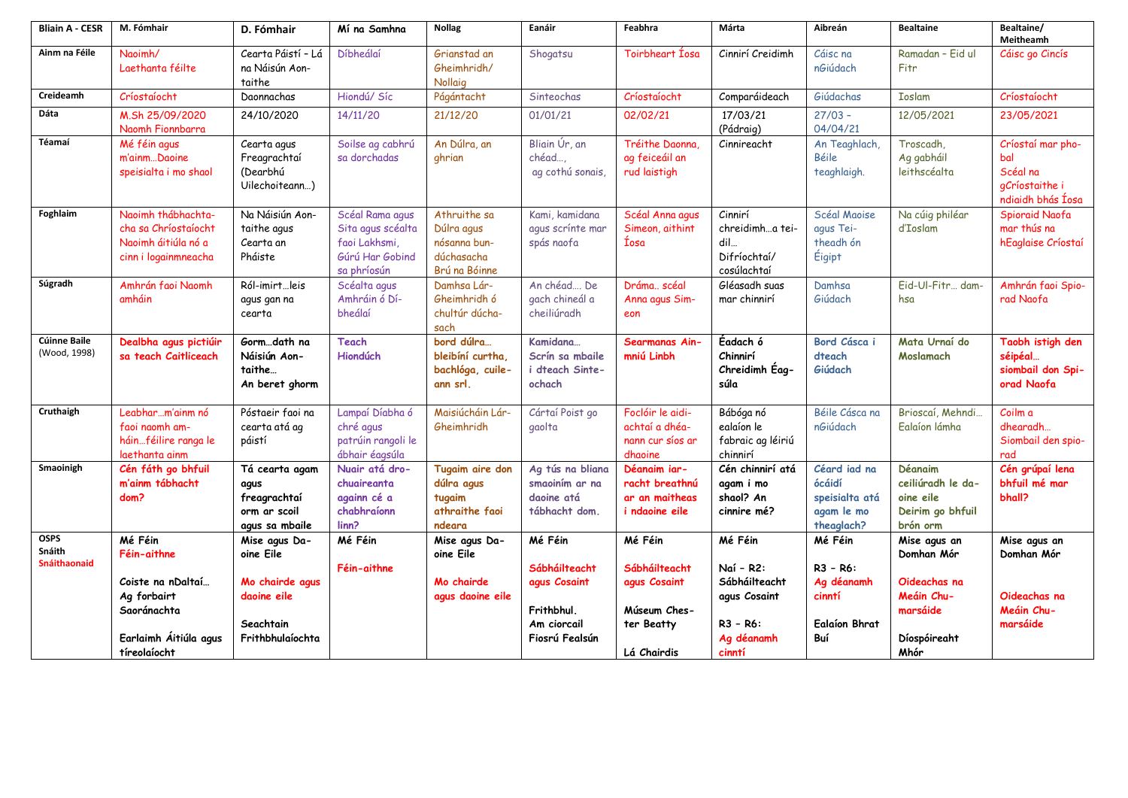| <b>Bliain A - CESR</b>                       | M. Fómhair                                                                                                         | D. Fómhair                                                                                    | Mí na Samhna                                                                            | <b>Nollag</b>                                                             | Eanáir                                                                                  | Feabhra                                                                               | Márta                                                                                        | Aibreán                                                                    | <b>Bealtaine</b>                                                                             | Bealtaine/<br>Meitheamh                                                     |
|----------------------------------------------|--------------------------------------------------------------------------------------------------------------------|-----------------------------------------------------------------------------------------------|-----------------------------------------------------------------------------------------|---------------------------------------------------------------------------|-----------------------------------------------------------------------------------------|---------------------------------------------------------------------------------------|----------------------------------------------------------------------------------------------|----------------------------------------------------------------------------|----------------------------------------------------------------------------------------------|-----------------------------------------------------------------------------|
| Ainm na Féile                                | Naoimh/<br>Laethanta féilte                                                                                        | Cearta Páistí - Lá<br>na Náisún Aon-<br>taithe                                                | Díbheálaí                                                                               | Grianstad an<br>Gheimhridh/<br>Nollaig                                    | Shogatsu                                                                                | Toirbheart Íosa                                                                       | Cinnirí Creidimh                                                                             | Cáisc na<br>nGiúdach                                                       | Ramadan - Eid ul<br>Fitr                                                                     | Cáisc go Cincís                                                             |
| Creideamh                                    | Críostaíocht                                                                                                       | Daonnachas                                                                                    | Hiondú/ Síc                                                                             | Págántacht                                                                | Sinteochas                                                                              | Críostaíocht                                                                          | Comparáideach                                                                                | Giúdachas                                                                  | <b>Toslam</b>                                                                                | Críostaíocht                                                                |
| Dáta                                         | M.Sh 25/09/2020<br>Naomh Fionnbarra                                                                                | 24/10/2020                                                                                    | 14/11/20                                                                                | 21/12/20                                                                  | 01/01/21                                                                                | 02/02/21                                                                              | 17/03/21<br>(Pádraig)                                                                        | $27/03 -$<br>04/04/21                                                      | 12/05/2021                                                                                   | 23/05/2021                                                                  |
| Téamaí                                       | Mé féin agus<br>m'ainmDaoine<br>speisialta i mo shaol                                                              | Cearta agus<br>Freagrachtaí<br>(Dearbhú<br>Uilechoiteann)                                     | Soilse ag cabhrú<br>sa dorchadas                                                        | An Dúlra, an<br>ghrian                                                    | Bliain Úr, an<br>chéad,<br>ag cothú sonais,                                             | Tréithe Daonna,<br>ag feiceáil an<br>rud laistigh                                     | Cinnireacht                                                                                  | An Teaghlach,<br>Béile<br>teaghlaigh.                                      | Troscadh,<br>Ag gabháil<br>leithscéalta                                                      | Críostaí mar pho-<br>bal<br>Scéal na<br>gCríostaithe i<br>ndiaidh bhás Íosa |
| Foghlaim                                     | Naoimh thábhachta-<br>cha sa Chríostaíocht<br>Naoimh áitiúla nó a<br>cinn i logainmneacha                          | Na Náisiún Aon-<br>taithe agus<br>Cearta an<br>Pháiste                                        | Scéal Rama agus<br>Sita agus scéalta<br>faoi Lakhsmi,<br>Gúrú Har Gobind<br>sa phríosún | Athruithe sa<br>Dúlra agus<br>nósanna bun-<br>dúchasacha<br>Brú na Bóinne | Kami, kamidana<br>agus scrínte mar<br>spás naofa                                        | Scéal Anna agus<br>Simeon, aithint<br>Íosa                                            | Cinnirí<br>chreidimha tei-<br>dil<br>Difríochtaí/<br>cosúlachtaí                             | Scéal Maoise<br>agus Tei-<br>theadh ón<br>Éigipt                           | Na cúig philéar<br>d'Ioslam                                                                  | Spioraid Naofa<br>mar thús na<br>hEaglaise Críostaí                         |
| Súgradh                                      | Amhrán faoi Naomh<br>amháin                                                                                        | Ról-imirtleis<br>agus gan na<br>cearta                                                        | Scéalta agus<br>Amhráin ó Dí-<br>bheálaí                                                | Damhsa Lár-<br>Gheimhridh ó<br>chultúr dúcha-<br>sach                     | An chéad De<br>gach chineál a<br>cheiliúradh                                            | Dráma scéal<br>Anna agus Sim-<br>eon                                                  | Gléasadh suas<br>mar chinnirí                                                                | Damhsa<br>Giúdach                                                          | Eid-Ul-Fitr dam-<br>hsa                                                                      | Amhrán faoi Spio-<br>rad Naofa                                              |
| Cúinne Baile<br>(Wood, 1998)                 | Dealbha agus pictiúir<br>sa teach Caitliceach                                                                      | Gormdath na<br>Náisiún Aon-<br>taithe<br>An beret ghorm                                       | Teach<br>Hiondúch                                                                       | bord dúlra<br>bleibíní curtha.<br>bachlóga, cuile-<br>ann srl.            | Kamidana<br>Scrín sa mbaile<br>i dteach Sinte-<br>ochach                                | Searmanas Ain-<br>mniú Linbh                                                          | Éadach ó<br>Chinnirí<br>Chreidimh Eag-<br>súla                                               | Bord Cásca i<br>dteach<br>Giúdach                                          | Mata Urnaí do<br>Moslamach                                                                   | Taobh istigh den<br>séipéal<br>siombail don Spi-<br>orad Naofa              |
| Cruthaigh                                    | Leabharm'ainm nó<br>faoi naomh am-<br>háinféilire ranga le<br>laethanta ainm                                       | Póstaeir faoi na<br>cearta atá ag<br>páistí                                                   | Lampaí Díabha ó<br>chré agus<br>patrúin rangoli le<br>ábhair éagsúla                    | Maisiúcháin Lár-<br>Gheimhridh                                            | Cártaí Poist go<br>gaolta                                                               | Foclóir le aidi-<br>achtaí a dhéa-<br>nann cur síos ar<br>dhaoine                     | Bábóga nó<br>ealaíon le<br>fabraic ag léiriú<br>chinnirí                                     | Béile Cásca na<br>nGiúdach                                                 | Brioscaí, Mehndi<br>Ealaíon lámha                                                            | Coilm a<br>dhearadh<br>Siombail den spio-<br>rad                            |
| Smaoinigh                                    | Cén fáth go bhfuil<br>m'ainm tábhacht<br>dom?                                                                      | Tá cearta agam<br>agus<br>freagrachtaí<br>orm ar scoil<br>agus sa mbaile                      | Nuair atá dro-<br>chuaireanta<br>againn cé a<br>chabhraíonn<br>$\lim_{n}$               | Tugaim aire don<br>dúlra agus<br>tugaim<br>athraithe faoi<br>ndeara       | Ag tús na bliana<br>smaoiním ar na<br>daoine atá<br>tábhacht dom.                       | Déanaim iar-<br>racht breathnú<br>ar an maitheas<br>i ndaoine eile                    | Cén chinnirí atá<br>agam i mo<br>shaol? An<br>cinnire mé?                                    | Céard iad na<br>ócáidí<br>speisialta atá<br>agam le mo<br>theaglach?       | Déanaim<br>ceiliúradh le da-<br>oine eile<br>Deirim go bhfuil<br>brón orm                    | Cén grúpaí lena<br>bhfuil mé mar<br>bhall?                                  |
| <b>OSPS</b><br>Snáith<br><b>Snáithaonaid</b> | Mé Féin<br>Féin-aithne<br>Coiste na nDaltaí<br>Ag forbairt<br>Saoránachta<br>Earlaimh Áitiúla agus<br>tíreolaíocht | Mise agus Da-<br>oine Eile<br>Mo chairde agus<br>daoine eile<br>Seachtain<br>Frithbhulaíochta | Mé Féin<br>Féin-aithne                                                                  | Mise agus Da-<br>oine Eile<br>Mo chairde<br>agus daoine eile              | Mé Féin<br>Sábháilteacht<br>agus Cosaint<br>Frithbhul.<br>Am ciorcail<br>Fiosrú Fealsún | Mé Féin<br>Sábháilteacht<br>agus Cosaint<br>Múseum Ches-<br>ter Beatty<br>Lá Chairdis | Mé Féin<br>Naí - R2:<br>Sábháilteacht<br>agus Cosaint<br>$R3 - R6$ :<br>Ag déanamh<br>cinntí | Mé Féin<br>R3 - R6:<br>Ag déanamh<br>cinntí<br><b>Ealaíon Bhrat</b><br>Buí | Mise agus an<br>Domhan Mór<br>Oideachas na<br>Meáin Chu-<br>marsáide<br>Díospóireaht<br>Mhór | Mise agus an<br>Domhan Mór<br>Oideachas na<br>Meáin Chu-<br>marsáide        |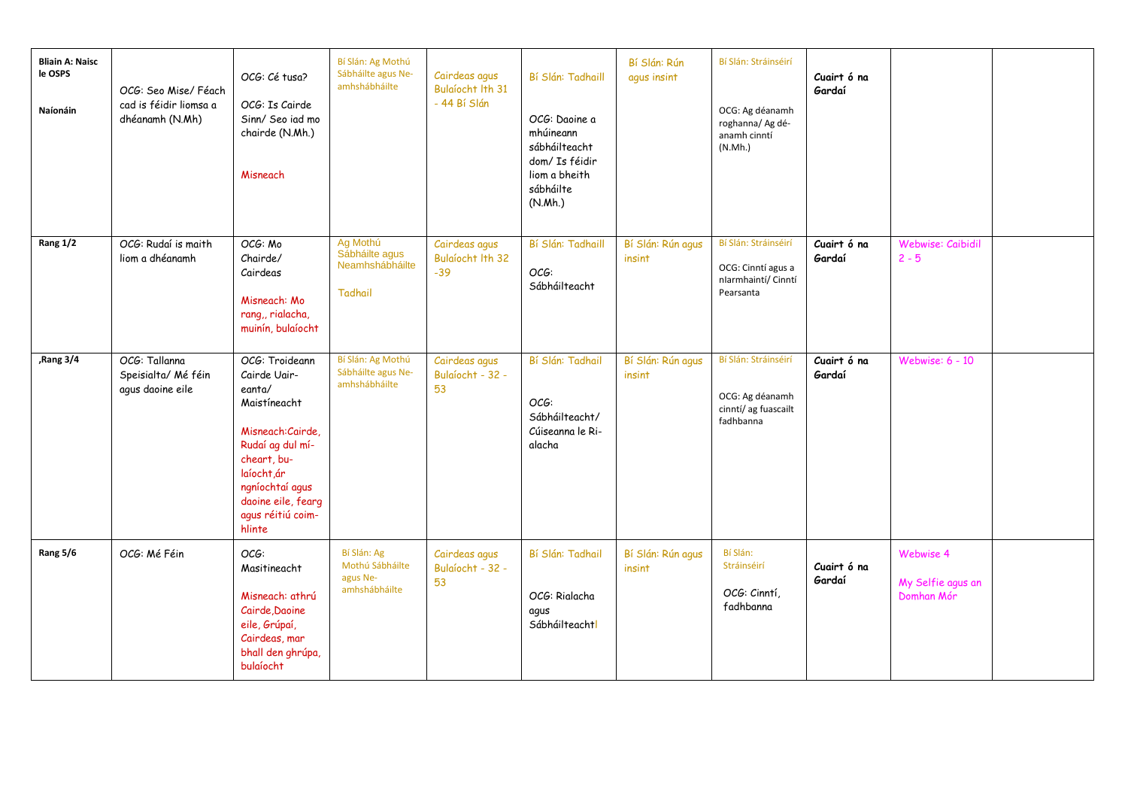| <b>Bliain A: Naisc</b><br>le OSPS<br><b>Naíonáin</b> | OCG: Seo Mise/Féach<br>cad is féidir liomsa a<br>dhéanamh (N.Mh) | OCG: Cé tusa?<br>OCG: Is Cairde<br>Sinn/ Seo iad mo<br>chairde (N.Mh.)<br>Misneach                                                                                                                     | Bí Slán: Ag Mothú<br>Sábháilte agus Ne-<br>amhshábháilte    | Cairdeas agus<br>Bulaíocht Ith 31<br>- 44 Bí Slán | Bí Slán: Tadhaill<br>OCG: Daoine a<br>mhúineann<br>sábháilteacht<br>dom/ Is féidir<br>liom a bheith<br>sábháilte<br>(N.Mh.) | Bí Slán: Rún<br>agus insint | Bí Slán: Stráinséirí<br>OCG: Ag déanamh<br>roghanna/ Ag dé-<br>anamh cinntí<br>(N.Mh.) | Cuairt ó na<br>Gardaí |                                              |  |
|------------------------------------------------------|------------------------------------------------------------------|--------------------------------------------------------------------------------------------------------------------------------------------------------------------------------------------------------|-------------------------------------------------------------|---------------------------------------------------|-----------------------------------------------------------------------------------------------------------------------------|-----------------------------|----------------------------------------------------------------------------------------|-----------------------|----------------------------------------------|--|
| Rang 1/2                                             | OCG: Rudaí is maith<br>liom a dhéanamh                           | OCG: Mo<br>Chairde/<br>Cairdeas<br>Misneach: Mo<br>rang,, rialacha,<br>muinín, bulaíocht                                                                                                               | Ag Mothú<br>Sábháilte agus<br>Neamhshábháilte<br>Tadhail    | Cairdeas agus<br>Bulaíocht lth 32<br>$-39$        | Bí Slán: Tadhaill<br>OCG:<br>Sábháilteacht                                                                                  | Bí Slán: Rún agus<br>insint | Bí Slán: Stráinséirí<br>OCG: Cinntí agus a<br>nlarmhaintí/ Cinntí<br>Pearsanta         | Cuairt ó na<br>Gardaí | Webwise: Caibidil<br>$2 - 5$                 |  |
| ,Rang 3/4                                            | OCG: Tallanna<br>Speisialta/Mé féin<br>agus daoine eile          | OCG: Troideann<br>Cairde Uair-<br>eanta/<br>Maistíneacht<br>Misneach:Cairde,<br>Rudaí ag dul mí-<br>cheart, bu-<br>laíocht, ár<br>ngníochtaí agus<br>daoine eile, fearg<br>agus réitiú coim-<br>hlinte | Bí Slán: Ag Mothú<br>Sábháilte agus Ne-<br>amhshábháilte    | Cairdeas agus<br>Bulaíocht - 32 -<br>53           | Bí Slán: Tadhail<br>OCG:<br>Sábháilteacht/<br>Cúiseanna le Ri-<br>alacha                                                    | Bí Slán: Rún agus<br>insint | Bí Slán: Stráinséirí<br>OCG: Ag déanamh<br>cinntí/ ag fuascailt<br>fadhbanna           | Cuairt ó na<br>Gardaí | Webwise: 6 - 10                              |  |
| Rang 5/6                                             | OCG: Mé Féin                                                     | OCG:<br>Masitineacht<br>Misneach: athrú<br>Cairde, Daoine<br>eile, Grúpaí,<br>Cairdeas, mar<br>bhall den ghrúpa,<br>bulaíocht                                                                          | Bí Slán: Ag<br>Mothú Sábháilte<br>agus Ne-<br>amhshábháilte | Cairdeas agus<br>Bulaíocht - 32 -<br>53           | Bí Slán: Tadhail<br>OCG: Rialacha<br>aqus<br>Sábháilteachtl                                                                 | Bí Slán: Rún agus<br>insint | Bí Slán:<br>Stráinséirí<br>OCG: Cinntí,<br>fadhbanna                                   | Cuairt ó na<br>Gardaí | Webwise 4<br>My Selfie agus an<br>Domhan Mór |  |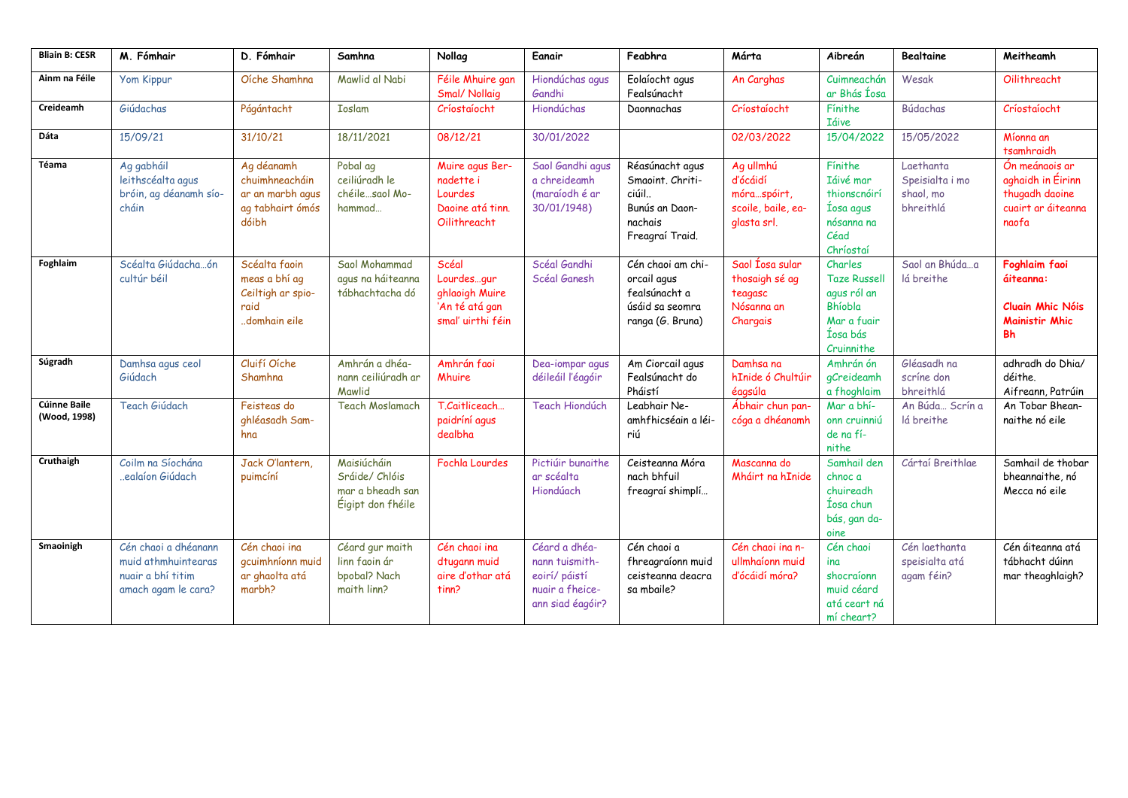| <b>Bliain B: CESR</b>        | M. Fómhair                                                                              | D. Fómhair                                                                    | Samhna                                                                 | Nollag                                                                      | Eanair                                                                                  | Feabhra                                                                                      | Márta                                                                         | Aibreán                                                                                           | <b>Bealtaine</b>                                       | Meitheamh                                                                                   |
|------------------------------|-----------------------------------------------------------------------------------------|-------------------------------------------------------------------------------|------------------------------------------------------------------------|-----------------------------------------------------------------------------|-----------------------------------------------------------------------------------------|----------------------------------------------------------------------------------------------|-------------------------------------------------------------------------------|---------------------------------------------------------------------------------------------------|--------------------------------------------------------|---------------------------------------------------------------------------------------------|
| Ainm na Féile                | Yom Kippur                                                                              | Oíche Shamhna                                                                 | Mawlid al Nabi                                                         | Féile Mhuire gan<br><b>Smal/ Nollaig</b>                                    | Hiondúchas agus<br>Gandhi                                                               | Eolaíocht agus<br>Fealsúnacht                                                                | An Carghas                                                                    | Cuimneachán<br>ar Bhás Íosa                                                                       | Wesak                                                  | Oilithreacht                                                                                |
| <b>Creideamh</b>             | Giúdachas                                                                               | Págántacht                                                                    | <b>Toslam</b>                                                          | Críostaíocht                                                                | Hiondúchas                                                                              | Daonnachas                                                                                   | Críostaíocht                                                                  | Fínithe<br><b>Táive</b>                                                                           | Búdachas                                               | Críostaíocht                                                                                |
| <b>Dáta</b>                  | 15/09/21                                                                                | 31/10/21                                                                      | 18/11/2021                                                             | 08/12/21                                                                    | 30/01/2022                                                                              |                                                                                              | 02/03/2022                                                                    | 15/04/2022                                                                                        | 15/05/2022                                             | Míonna an<br>tsamhraidh                                                                     |
| Téama                        | Ag gabháil<br>leithscéalta agus<br>bróin, ag déanamh sío-<br>cháin                      | Ag déanamh<br>chuimhneacháin<br>ar an marbh agus<br>ag tabhairt ómós<br>dóibh | Pobal ag<br>ceiliúradh le<br>chéile saol Mo-<br>hammad                 | Muire agus Ber-<br>nadette i<br>Lourdes<br>Daoine atá tinn.<br>Oilithreacht | Saol Gandhi agus<br>a chreideamh<br>(maraíodh é ar<br>30/01/1948)                       | Réasúnacht agus<br>Smaoint, Chriti-<br>ciúil<br>Bunús an Daon-<br>nachais<br>Freagraí Traid. | Ag ullmhú<br>d'ócáidí<br>móraspóirt,<br>scoile, baile, ea-<br>glasta srl.     | Fínithe<br>Iáivé mar<br>thionscnóirí<br><b>Íosa</b> agus<br>nósanna na<br>Céad<br>Chríostaí       | Laethanta<br>Speisialta i mo<br>shaol, mo<br>bhreithlá | Ón meánaois ar<br>aghaidh in Éirinn<br>thugadh daoine<br>cuairt ar áiteanna<br>naofa        |
| Foghlaim                     | Scéalta Giúdachaón<br>cultúr béil                                                       | Scéalta faoin<br>meas a bhí ag<br>Ceiltigh ar spio-<br>raid<br>domhain eile   | Saol Mohammad<br>agus na háiteanna<br>tábhachtacha dó                  | Scéal<br>Lourdesgur<br>ghlaoigh Muire<br>'An té atá gan<br>smaľ uirthi féin | Scéal Gandhi<br>Scéal Ganesh                                                            | Cén chaoi am chi-<br>orcail agus<br>fealsúnacht a<br>úsáid sa seomra<br>ranga (G. Bruna)     | Saol <i>Iosa</i> sular<br>thosaigh sé ag<br>teagasc<br>Nósanna an<br>Chargais | Charles<br><b>Taze Russell</b><br>agus ról an<br>Bhíobla<br>Mar a fuair<br>Íosa bás<br>Cruinnithe | Saol an Bhúda a<br>lá breithe                          | Foghlaim faoi<br>áiteanna:<br><b>Cluain Mhic Nóis</b><br><b>Mainistir Mhic</b><br><b>Bh</b> |
| Súgradh                      | Damhsa agus ceol<br>Giúdach                                                             | Cluifí Oíche<br>Shamhna                                                       | Amhrán a dhéa-<br>nann ceiliúradh ar<br>Mawlid                         | Amhrán faoi<br>Mhuire                                                       | Dea-iompar agus<br>déileáil l'éagóir                                                    | Am Ciorcail agus<br>Fealsúnacht do<br>Pháistí                                                | Damhsa na<br>hInide ó Chultúir<br>éagsúla                                     | Amhrán ón<br>gCreideamh<br>a fhoghlaim                                                            | Gléasadh na<br>scríne don<br>bhreithlá                 | adhradh do Dhia/<br>déithe.<br>Aifreann, Patrúin                                            |
| Cúinne Baile<br>(Wood, 1998) | Teach Giúdach                                                                           | Feisteas do<br>ghléasadh Sam-<br>hna                                          | <b>Teach Moslamach</b>                                                 | T.Caitliceach<br>paidríní agus<br>dealbha                                   | Teach Hiondúch                                                                          | Leabhair Ne-<br>amhfhicséain a léi-<br>riú                                                   | Ábhair chun pan-<br>cóga a dhéanamh                                           | Mar a bhí-<br>onn cruinniú<br>de na fí-<br>nithe                                                  | An Búda Scrín a<br>lá breithe                          | An Tobar Bhean-<br>naithe nó eile                                                           |
| Cruthaigh                    | Coilm na Síochána<br>ealaíon Giúdach                                                    | Jack O'lantern,<br>puimcíní                                                   | Maisiúcháin<br>Sráide/ Chlóis<br>mar a bheadh san<br>Éigipt don fhéile | <b>Fochla Lourdes</b>                                                       | Pictiúir bunaithe<br>ar scéalta<br>Hiondúach                                            | Ceisteanna Móra<br>nach bhfuil<br>freagraí shimplí                                           | Mascanna do<br>Mháirt na hInide                                               | Samhail den<br>chnoc a<br>chuireadh<br>Íosa chun<br>bás, gan da-<br>oine                          | Cártaí Breithlae                                       | Samhail de thobar<br>bheannaithe, nó<br>Mecca nó eile                                       |
| Smaoinigh                    | Cén chaoi a dhéanann<br>muid athmhuintearas<br>nuair a bhí titim<br>amach agam le cara? | Cén chaoi ina<br>gcuimhníonn muid<br>ar ghaolta atá<br>marbh?                 | Céard gur maith<br>linn faoin ár<br>bpobal? Nach<br>maith linn?        | Cén chaoi ina<br>dtugann muid<br>aire d'othar atá<br>tinn?                  | Céard a dhéa-<br>nann tuismith-<br>eoirí/ páistí<br>nuair a fheice-<br>ann siad éagóir? | Cén chaoi a<br>fhreagraíonn muid<br>ceisteanna deacra<br>sa mbaile?                          | Cén chaoi ina n-<br>ullmhaíonn muid<br>d'ócáidí móra?                         | Cén chaoi<br>ina<br>shocraíonn<br>muid céard<br>atá ceart ná<br>mí cheart?                        | Cén laethanta<br>speisialta atá<br>agam féin?          | Cén áiteanna atá<br>tábhacht dúinn<br>mar theaghlaigh?                                      |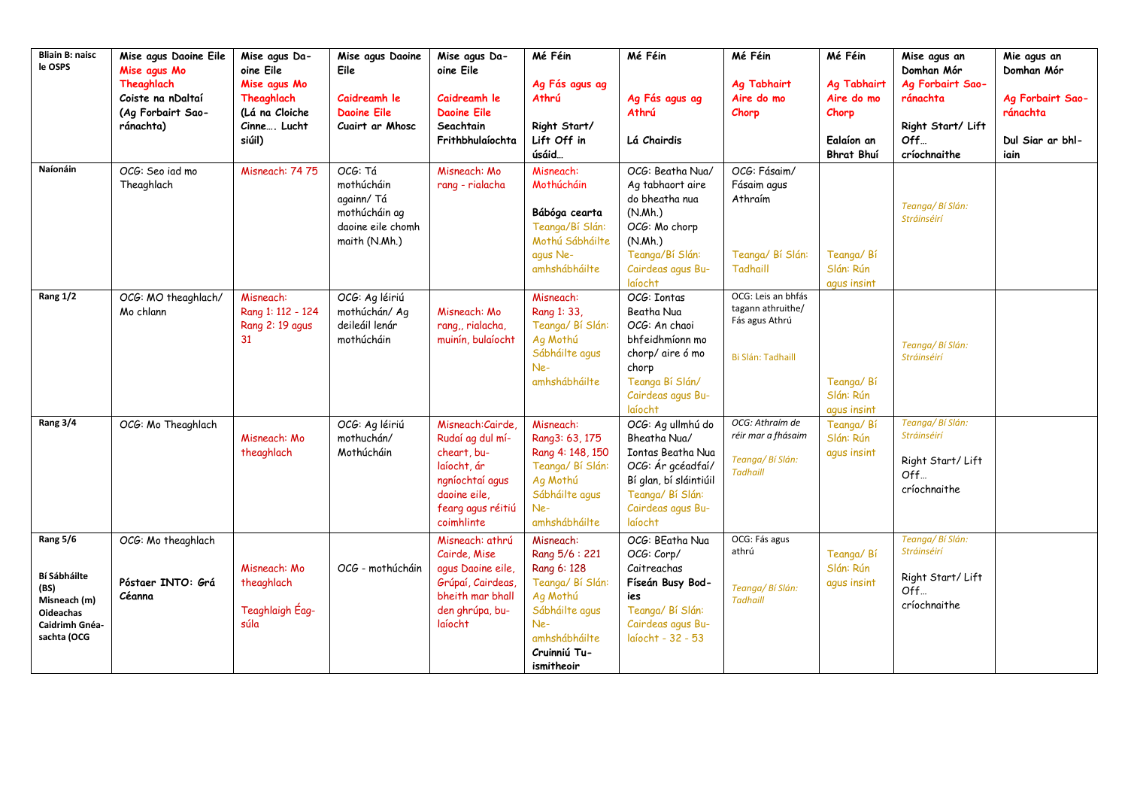| <b>Bliain B: naisc</b><br>le OSPS                                                                     | Mise agus Daoine Eile<br>Mise agus Mo<br>Theaghlach<br>Coiste na nDaltaí<br>(Ag Forbairt Sao-<br>ránachta) | Mise agus Da-<br>oine Eile<br>Mise agus Mo<br>Theaghlach<br>(Lá na Cloiche<br>Cinne Lucht<br>siúil) | Mise agus Daoine<br>Eile<br>Caidreamh le<br><b>Daoine Eile</b><br>Cuairt ar Mhosc         | Mise agus Da-<br>oine Eile<br>Caidreamh le<br><b>Daoine Eile</b><br>Seachtain<br>Frithbhulaíochta                                        | Mé Féin<br>Ag Fás agus ag<br>Athrú<br>Right Start/<br>Lift Off in<br>úsáid                                                                       | Mé Féin<br>Ag Fás agus ag<br>Athrú<br>Lá Chairdis                                                                                                         | Mé Féin<br><b>Ag Tabhairt</b><br>Aire do mo<br>Chorp                           | Mé Féin<br><b>Ag Tabhairt</b><br>Aire do mo<br>Chorp<br>Ealaíon an<br><b>Bhrat Bhuí</b> | Mise agus an<br>Domhan Mór<br>Ag Forbairt Sao-<br>ránachta<br>Right Start/ Lift<br>Off<br>críochnaithe | Mie agus an<br>Domhan Mór<br>Ag Forbairt Sao-<br>ránachta<br>Dul Siar ar bhl-<br>iain |
|-------------------------------------------------------------------------------------------------------|------------------------------------------------------------------------------------------------------------|-----------------------------------------------------------------------------------------------------|-------------------------------------------------------------------------------------------|------------------------------------------------------------------------------------------------------------------------------------------|--------------------------------------------------------------------------------------------------------------------------------------------------|-----------------------------------------------------------------------------------------------------------------------------------------------------------|--------------------------------------------------------------------------------|-----------------------------------------------------------------------------------------|--------------------------------------------------------------------------------------------------------|---------------------------------------------------------------------------------------|
| Naíonáin                                                                                              | OCG: Seo iad mo<br>Theaghlach                                                                              | Misneach: 74 75                                                                                     | OCG: Tá<br>mothúcháin<br>againn/Tá<br>mothúcháin ag<br>daoine eile chomh<br>maith (N.Mh.) | Misneach: Mo<br>rang - rialacha                                                                                                          | Misneach:<br>Mothúcháin<br>Bábóga cearta<br>Teanga/Bí Slán:<br>Mothú Sábháilte<br>agus Ne-<br>amhshábháilte                                      | OCG: Beatha Nua/<br>Ag tabhaort aire<br>do bheatha nua<br>(N.Mh.)<br>OCG: Mo chorp<br>(N.Mh.)<br>Teanga/Bí Slán:<br>Cairdeas agus Bu-<br>laíocht          | OCG: Fásaim/<br>Fásaim agus<br>Athraim<br>Teanga/ Bí Slán:<br>Tadhaill         | Teanga/Bí<br>Slán: Rún<br>agus insint                                                   | Teanga/Bí Slán:<br><b>Stráinséirí</b>                                                                  |                                                                                       |
| Rang 1/2                                                                                              | OCG: MO theaghlach/<br>Mo chlann                                                                           | Misneach:<br>Rang 1: 112 - 124<br>Rang 2: 19 agus<br>31                                             | OCG: Ag léiriú<br>mothúchán/ Ag<br>deileáil lenár<br>mothúcháin                           | Misneach: Mo<br>rang,, rialacha,<br>muinín, bulaíocht                                                                                    | Misneach:<br>Rang 1: 33,<br>Teanga/ Bí Slán:<br>Ag Mothú<br>Sábháilte agus<br>Ne-<br>amhshábháilte                                               | OCG: Iontas<br>Beatha Nua<br>OCG: An chaoi<br>bhfeidhmíonn mo<br>chorp/ aire ó mo<br>chorp<br>Teanga Bí Slán/<br>Cairdeas agus Bu-<br>laíocht             | OCG: Leis an bhfás<br>tagann athruithe/<br>Fás agus Athrú<br>Bi Slán: Tadhaill | Teanga/Bí<br>Slán: Rún<br>agus insint                                                   | Teanga/Bí Slán:<br><b>Stráinséirí</b>                                                                  |                                                                                       |
| Rang 3/4                                                                                              | OCG: Mo Theaghlach                                                                                         | Misneach: Mo<br>theaghlach                                                                          | OCG: Ag léiriú<br>mothuchán/<br>Mothúcháin                                                | Misneach:Cairde,<br>Rudaí ag dul mí-<br>cheart, bu-<br>laíocht, ár<br>ngníochtaí agus<br>daoine eile,<br>fearg agus réitiú<br>coimhlinte | Misneach:<br>Rang3: 63, 175<br>Rang 4: 148, 150<br>Teanga/ Bí Slán:<br>Ag Mothú<br>Sábháilte agus<br>Ne-<br>amhshábháilte                        | OCG: Ag ullmhú do<br>Bheatha Nua/<br>Iontas Beatha Nua<br>OCG: Ár gcéadfaí/<br>Bí glan, bí sláintiúil<br>Teanga/ Bí Slán:<br>Cairdeas agus Bu-<br>laíocht | OCG: Athraím de<br>réir mar a fhásaim<br>Teanga/ Bí Slán:<br><b>Tadhaill</b>   | Teanga/Bí<br>Slán: Rún<br>agus insint                                                   | Teanga/Bí Slán:<br>Stráinséirí<br>Right Start/Lift<br>Off<br>críochnaithe                              |                                                                                       |
| Rang 5/6<br>Bí Sábháilte<br>(BS)<br>Misneach (m)<br><b>Oideachas</b><br>Caidrimh Gnéa-<br>sachta (OCG | OCG: Mo theaghlach<br>Póstaer INTO: Grá<br>Céanna                                                          | Misneach: Mo<br>theaghlach<br>Teaghlaigh Éag-<br>súla                                               | OCG - mothúcháin                                                                          | Misneach: athrú<br>Cairde, Mise<br>agus Daoine eile,<br>Grúpaí, Cairdeas,<br>bheith mar bhall<br>den ghrúpa, bu-<br>laíocht              | Misneach:<br>Rang 5/6:221<br>Rang 6: 128<br>Teanga/ Bí Slán:<br>Ag Mothú<br>Sábháilte agus<br>Ne-<br>amhshábháilte<br>Cruinniú Tu-<br>ismitheoir | OCG: BEatha Nua<br>OCG: Corp/<br>Caitreachas<br>Físeán Busy Bod-<br>ies<br>Teanga/ Bí Slán:<br>Cairdeas agus Bu-<br>laíocht - 32 - 53                     | OCG: Fás agus<br>athrú<br>Teanga/ Bí Slán:<br><b>Tadhaill</b>                  | Teanga/Bí<br>Slán: Rún<br>agus insint                                                   | Teanga/Bí Slán:<br>Stráinséirí<br>Right Start/Lift<br>Off<br>críochnaithe                              |                                                                                       |